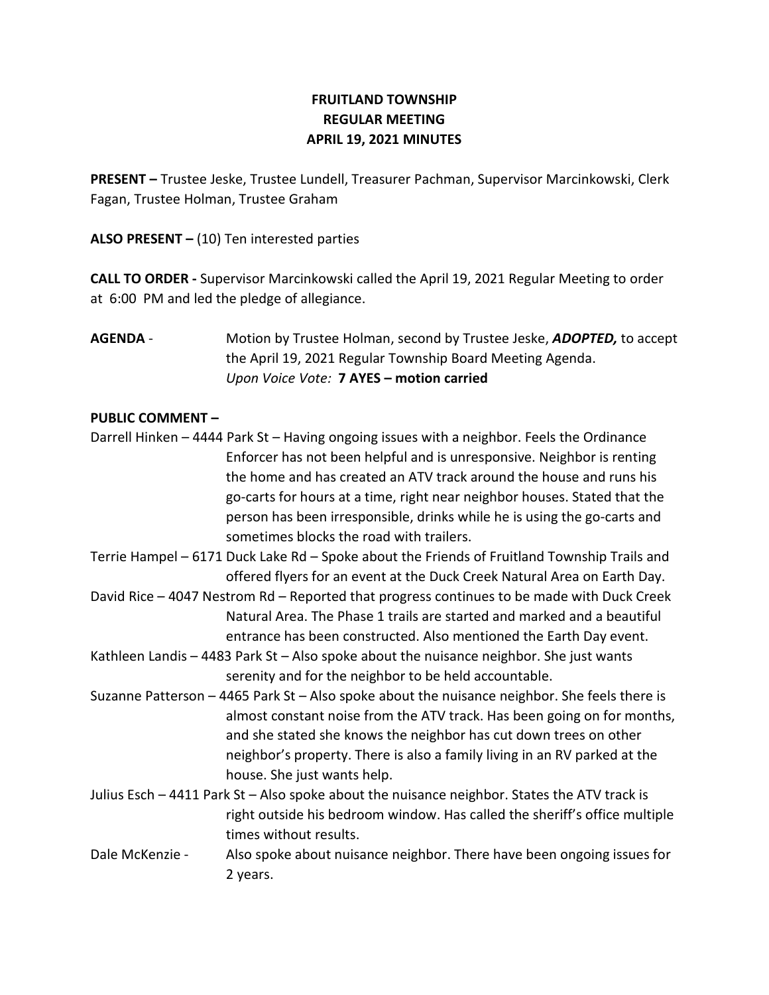# FRUITLAND TOWNSHIP REGULAR MEETING APRIL 19, 2021 MINUTES

PRESENT – Trustee Jeske, Trustee Lundell, Treasurer Pachman, Supervisor Marcinkowski, Clerk Fagan, Trustee Holman, Trustee Graham

ALSO PRESENT  $-$  (10) Ten interested parties

CALL TO ORDER - Supervisor Marcinkowski called the April 19, 2021 Regular Meeting to order at 6:00 PM and led the pledge of allegiance.

AGENDA - Motion by Trustee Holman, second by Trustee Jeske, ADOPTED, to accept the April 19, 2021 Regular Township Board Meeting Agenda. Upon Voice Vote: 7 AYES – motion carried

## PUBLIC COMMENT –

- Darrell Hinken 4444 Park St Having ongoing issues with a neighbor. Feels the Ordinance Enforcer has not been helpful and is unresponsive. Neighbor is renting the home and has created an ATV track around the house and runs his go-carts for hours at a time, right near neighbor houses. Stated that the person has been irresponsible, drinks while he is using the go-carts and sometimes blocks the road with trailers.
- Terrie Hampel 6171 Duck Lake Rd Spoke about the Friends of Fruitland Township Trails and offered flyers for an event at the Duck Creek Natural Area on Earth Day.
- David Rice 4047 Nestrom Rd Reported that progress continues to be made with Duck Creek Natural Area. The Phase 1 trails are started and marked and a beautiful entrance has been constructed. Also mentioned the Earth Day event.
- Kathleen Landis 4483 Park St Also spoke about the nuisance neighbor. She just wants serenity and for the neighbor to be held accountable.
- Suzanne Patterson 4465 Park St Also spoke about the nuisance neighbor. She feels there is almost constant noise from the ATV track. Has been going on for months, and she stated she knows the neighbor has cut down trees on other neighbor's property. There is also a family living in an RV parked at the house. She just wants help.
- Julius Esch 4411 Park St Also spoke about the nuisance neighbor. States the ATV track is right outside his bedroom window. Has called the sheriff's office multiple times without results.
- Dale McKenzie Also spoke about nuisance neighbor. There have been ongoing issues for 2 years.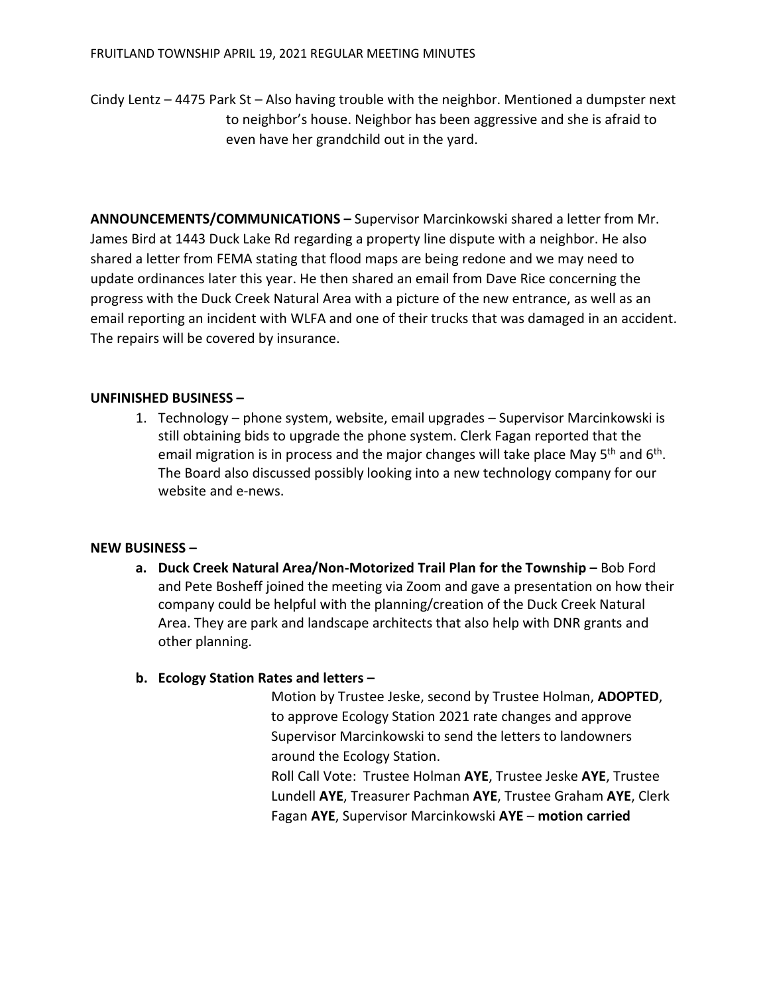Cindy Lentz – 4475 Park St – Also having trouble with the neighbor. Mentioned a dumpster next to neighbor's house. Neighbor has been aggressive and she is afraid to even have her grandchild out in the yard.

ANNOUNCEMENTS/COMMUNICATIONS – Supervisor Marcinkowski shared a letter from Mr. James Bird at 1443 Duck Lake Rd regarding a property line dispute with a neighbor. He also shared a letter from FEMA stating that flood maps are being redone and we may need to update ordinances later this year. He then shared an email from Dave Rice concerning the progress with the Duck Creek Natural Area with a picture of the new entrance, as well as an email reporting an incident with WLFA and one of their trucks that was damaged in an accident. The repairs will be covered by insurance.

## UNFINISHED BUSINESS –

1. Technology – phone system, website, email upgrades – Supervisor Marcinkowski is still obtaining bids to upgrade the phone system. Clerk Fagan reported that the email migration is in process and the major changes will take place May  $5<sup>th</sup>$  and  $6<sup>th</sup>$ . The Board also discussed possibly looking into a new technology company for our website and e-news.

#### NEW BUSINESS –

a. Duck Creek Natural Area/Non-Motorized Trail Plan for the Township – Bob Ford and Pete Bosheff joined the meeting via Zoom and gave a presentation on how their company could be helpful with the planning/creation of the Duck Creek Natural Area. They are park and landscape architects that also help with DNR grants and other planning.

# b. Ecology Station Rates and letters –

Motion by Trustee Jeske, second by Trustee Holman, ADOPTED, to approve Ecology Station 2021 rate changes and approve Supervisor Marcinkowski to send the letters to landowners around the Ecology Station.

Roll Call Vote: Trustee Holman AYE, Trustee Jeske AYE, Trustee Lundell AYE, Treasurer Pachman AYE, Trustee Graham AYE, Clerk Fagan AYE, Supervisor Marcinkowski AYE – motion carried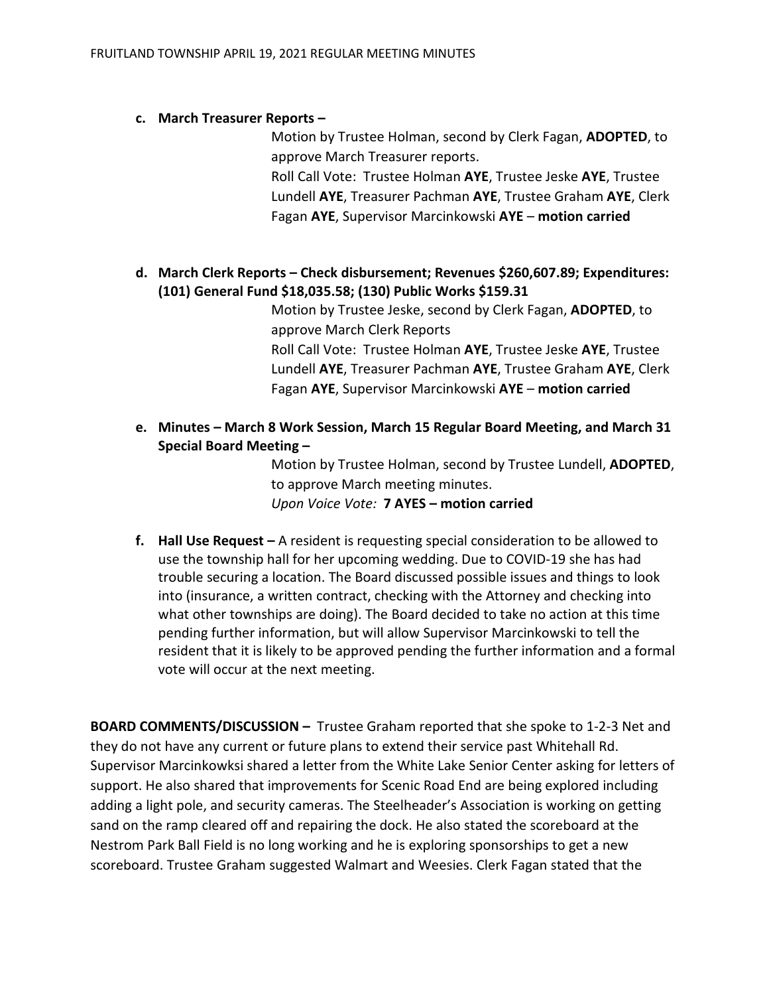## c. March Treasurer Reports –

Motion by Trustee Holman, second by Clerk Fagan, ADOPTED, to approve March Treasurer reports.

Roll Call Vote: Trustee Holman AYE, Trustee Jeske AYE, Trustee Lundell AYE, Treasurer Pachman AYE, Trustee Graham AYE, Clerk Fagan AYE, Supervisor Marcinkowski AYE – motion carried

# d. March Clerk Reports – Check disbursement; Revenues \$260,607.89; Expenditures: (101) General Fund \$18,035.58; (130) Public Works \$159.31

Motion by Trustee Jeske, second by Clerk Fagan, ADOPTED, to approve March Clerk Reports Roll Call Vote: Trustee Holman AYE, Trustee Jeske AYE, Trustee Lundell AYE, Treasurer Pachman AYE, Trustee Graham AYE, Clerk Fagan AYE, Supervisor Marcinkowski AYE – motion carried

e. Minutes – March 8 Work Session, March 15 Regular Board Meeting, and March 31 Special Board Meeting –

> Motion by Trustee Holman, second by Trustee Lundell, ADOPTED, to approve March meeting minutes. Upon Voice Vote: 7 AYES – motion carried

f. Hall Use Request – A resident is requesting special consideration to be allowed to use the township hall for her upcoming wedding. Due to COVID-19 she has had trouble securing a location. The Board discussed possible issues and things to look into (insurance, a written contract, checking with the Attorney and checking into what other townships are doing). The Board decided to take no action at this time pending further information, but will allow Supervisor Marcinkowski to tell the resident that it is likely to be approved pending the further information and a formal vote will occur at the next meeting.

BOARD COMMENTS/DISCUSSION – Trustee Graham reported that she spoke to 1-2-3 Net and they do not have any current or future plans to extend their service past Whitehall Rd. Supervisor Marcinkowksi shared a letter from the White Lake Senior Center asking for letters of support. He also shared that improvements for Scenic Road End are being explored including adding a light pole, and security cameras. The Steelheader's Association is working on getting sand on the ramp cleared off and repairing the dock. He also stated the scoreboard at the Nestrom Park Ball Field is no long working and he is exploring sponsorships to get a new scoreboard. Trustee Graham suggested Walmart and Weesies. Clerk Fagan stated that the